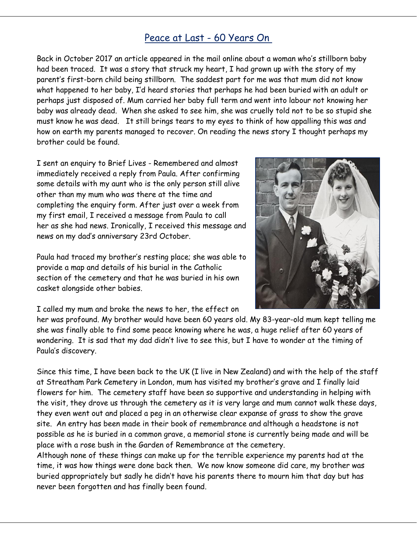## Peace at Last - 60 Years On

Back in October 2017 an article appeared in the mail online about a woman who's stillborn baby had been traced. It was a story that struck my heart, I had grown up with the story of my parent's first-born child being stillborn. The saddest part for me was that mum did not know what happened to her baby, I'd heard stories that perhaps he had been buried with an adult or perhaps just disposed of. Mum carried her baby full term and went into labour not knowing her baby was already dead. When she asked to see him, she was cruelly told not to be so stupid she must know he was dead. It still brings tears to my eyes to think of how appalling this was and how on earth my parents managed to recover. On reading the news story I thought perhaps my brother could be found.

I sent an enquiry to Brief Lives - Remembered and almost immediately received a reply from Paula. After confirming some details with my aunt who is the only person still alive other than my mum who was there at the time and completing the enquiry form. After just over a week from my first email, I received a message from Paula to call her as she had news. Ironically, I received this message and news on my dad's anniversary 23rd October.

Paula had traced my brother's resting place; she was able to provide a map and details of his burial in the Catholic section of the cemetery and that he was buried in his own casket alongside other babies.



I called my mum and broke the news to her, the effect on

her was profound. My brother would have been 60 years old. My 83-year-old mum kept telling me she was finally able to find some peace knowing where he was, a huge relief after 60 years of wondering. It is sad that my dad didn't live to see this, but I have to wonder at the timing of Paula's discovery.

Since this time, I have been back to the UK (I live in New Zealand) and with the help of the staff at Streatham Park Cemetery in London, mum has visited my brother's grave and I finally laid flowers for him. The cemetery staff have been so supportive and understanding in helping with the visit, they drove us through the cemetery as it is very large and mum cannot walk these days, they even went out and placed a peg in an otherwise clear expanse of grass to show the grave site. An entry has been made in their book of remembrance and although a headstone is not possible as he is buried in a common grave, a memorial stone is currently being made and will be place with a rose bush in the Garden of Remembrance at the cemetery.

Although none of these things can make up for the terrible experience my parents had at the time, it was how things were done back then. We now know someone did care, my brother was buried appropriately but sadly he didn't have his parents there to mourn him that day but has never been forgotten and has finally been found.